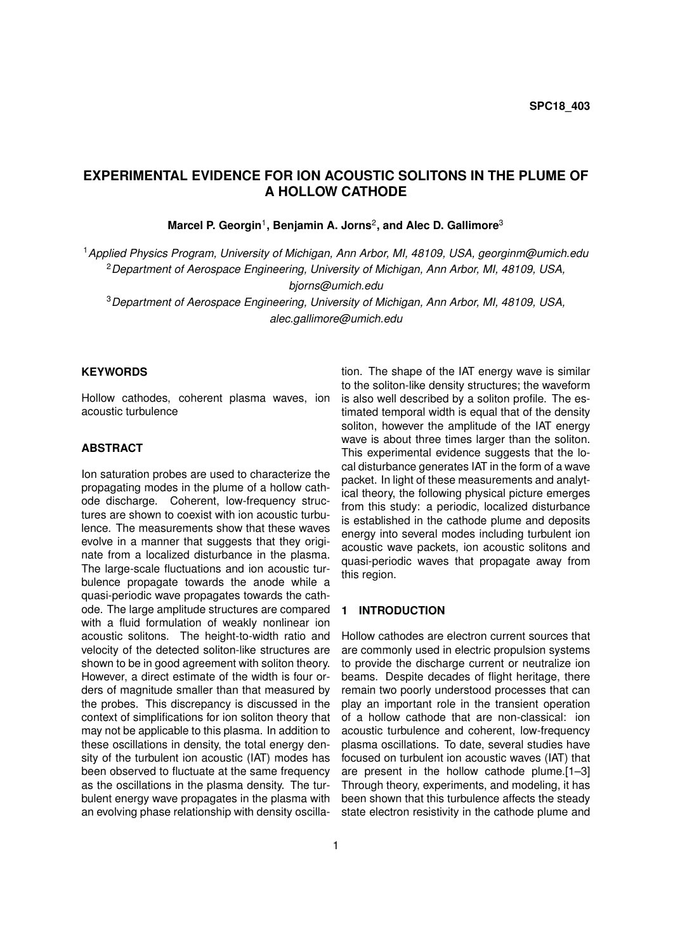# **EXPERIMENTAL EVIDENCE FOR ION ACOUSTIC SOLITONS IN THE PLUME OF A HOLLOW CATHODE**

Marcel P. Georgin<sup>1</sup>, Benjamin A. Jorns<sup>2</sup>, and Alec D. Gallimore<sup>3</sup>

<sup>1</sup>*Applied Physics Program, University of Michigan, Ann Arbor, MI, 48109, USA, georginm@umich.edu* <sup>2</sup>*Department of Aerospace Engineering, University of Michigan, Ann Arbor, MI, 48109, USA, bjorns@umich.edu*

<sup>3</sup>*Department of Aerospace Engineering, University of Michigan, Ann Arbor, MI, 48109, USA, alec.gallimore@umich.edu*

### **KEYWORDS**

Hollow cathodes, coherent plasma waves, ion acoustic turbulence

# **ABSTRACT**

Ion saturation probes are used to characterize the propagating modes in the plume of a hollow cathode discharge. Coherent, low-frequency structures are shown to coexist with ion acoustic turbulence. The measurements show that these waves evolve in a manner that suggests that they originate from a localized disturbance in the plasma. The large-scale fluctuations and ion acoustic turbulence propagate towards the anode while a quasi-periodic wave propagates towards the cathode. The large amplitude structures are compared with a fluid formulation of weakly nonlinear ion acoustic solitons. The height-to-width ratio and velocity of the detected soliton-like structures are shown to be in good agreement with soliton theory. However, a direct estimate of the width is four orders of magnitude smaller than that measured by the probes. This discrepancy is discussed in the context of simplifications for ion soliton theory that may not be applicable to this plasma. In addition to these oscillations in density, the total energy density of the turbulent ion acoustic (IAT) modes has been observed to fluctuate at the same frequency as the oscillations in the plasma density. The turbulent energy wave propagates in the plasma with an evolving phase relationship with density oscilla-

tion. The shape of the IAT energy wave is similar to the soliton-like density structures; the waveform is also well described by a soliton profile. The estimated temporal width is equal that of the density soliton, however the amplitude of the IAT energy wave is about three times larger than the soliton. This experimental evidence suggests that the local disturbance generates IAT in the form of a wave packet. In light of these measurements and analytical theory, the following physical picture emerges from this study: a periodic, localized disturbance is established in the cathode plume and deposits energy into several modes including turbulent ion acoustic wave packets, ion acoustic solitons and quasi-periodic waves that propagate away from this region.

#### **1 INTRODUCTION**

Hollow cathodes are electron current sources that are commonly used in electric propulsion systems to provide the discharge current or neutralize ion beams. Despite decades of flight heritage, there remain two poorly understood processes that can play an important role in the transient operation of a hollow cathode that are non-classical: ion acoustic turbulence and coherent, low-frequency plasma oscillations. To date, several studies have focused on turbulent ion acoustic waves (IAT) that are present in the hollow cathode plume.[1–3] Through theory, experiments, and modeling, it has been shown that this turbulence affects the steady state electron resistivity in the cathode plume and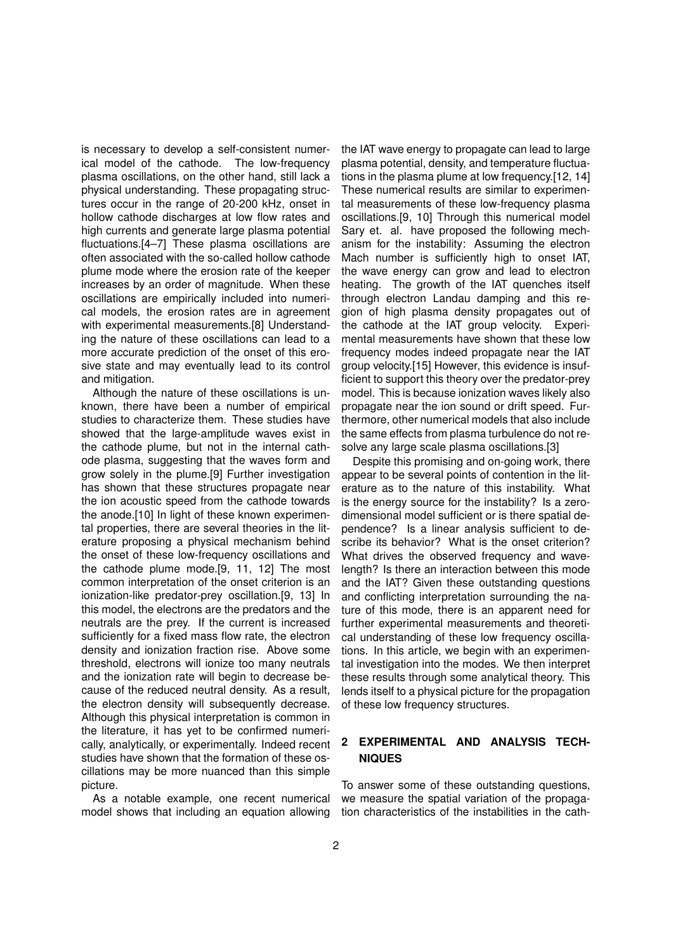is necessary to develop a self-consistent numerical model of the cathode. The low-frequency plasma oscillations, on the other hand, still lack a physical understanding. These propagating structures occur in the range of 20-200 kHz, onset in hollow cathode discharges at low flow rates and high currents and generate large plasma potential fluctuations.[4–7] These plasma oscillations are often associated with the so-called hollow cathode plume mode where the erosion rate of the keeper increases by an order of magnitude. When these oscillations are empirically included into numerical models, the erosion rates are in agreement with experimental measurements.[8] Understanding the nature of these oscillations can lead to a more accurate prediction of the onset of this erosive state and may eventually lead to its control and mitigation.

Although the nature of these oscillations is unknown, there have been a number of empirical studies to characterize them. These studies have showed that the large-amplitude waves exist in the cathode plume, but not in the internal cathode plasma, suggesting that the waves form and grow solely in the plume.[9] Further investigation has shown that these structures propagate near the ion acoustic speed from the cathode towards the anode.[10] In light of these known experimental properties, there are several theories in the literature proposing a physical mechanism behind the onset of these low-frequency oscillations and the cathode plume mode.[9, 11, 12] The most common interpretation of the onset criterion is an ionization-like predator-prey oscillation.[9, 13] In this model, the electrons are the predators and the neutrals are the prey. If the current is increased sufficiently for a fixed mass flow rate, the electron density and ionization fraction rise. Above some threshold, electrons will ionize too many neutrals and the ionization rate will begin to decrease because of the reduced neutral density. As a result, the electron density will subsequently decrease. Although this physical interpretation is common in the literature, it has yet to be confirmed numerically, analytically, or experimentally. Indeed recent studies have shown that the formation of these oscillations may be more nuanced than this simple picture.

As a notable example, one recent numerical model shows that including an equation allowing

the IAT wave energy to propagate can lead to large plasma potential, density, and temperature fluctuations in the plasma plume at low frequency.[12, 14] These numerical results are similar to experimental measurements of these low-frequency plasma oscillations.[9, 10] Through this numerical model Sary et. al. have proposed the following mechanism for the instability: Assuming the electron Mach number is sufficiently high to onset IAT, the wave energy can grow and lead to electron heating. The growth of the IAT quenches itself through electron Landau damping and this region of high plasma density propagates out of the cathode at the IAT group velocity. Experimental measurements have shown that these low frequency modes indeed propagate near the IAT group velocity.[15] However, this evidence is insufficient to support this theory over the predator-prey model. This is because ionization waves likely also propagate near the ion sound or drift speed. Furthermore, other numerical models that also include the same effects from plasma turbulence do not resolve any large scale plasma oscillations.[3]

Despite this promising and on-going work, there appear to be several points of contention in the literature as to the nature of this instability. What is the energy source for the instability? Is a zerodimensional model sufficient or is there spatial dependence? Is a linear analysis sufficient to describe its behavior? What is the onset criterion? What drives the observed frequency and wavelength? Is there an interaction between this mode and the IAT? Given these outstanding questions and conflicting interpretation surrounding the nature of this mode, there is an apparent need for further experimental measurements and theoretical understanding of these low frequency oscillations. In this article, we begin with an experimental investigation into the modes. We then interpret these results through some analytical theory. This lends itself to a physical picture for the propagation of these low frequency structures.

# **2 EXPERIMENTAL AND ANALYSIS TECH-NIQUES**

To answer some of these outstanding questions, we measure the spatial variation of the propagation characteristics of the instabilities in the cath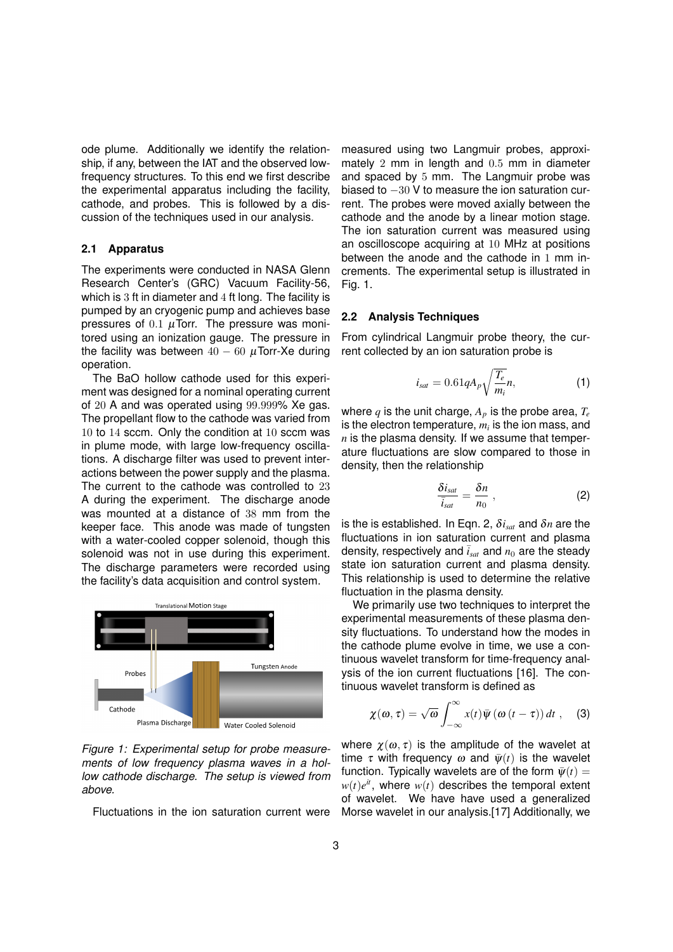ode plume. Additionally we identify the relationship, if any, between the IAT and the observed lowfrequency structures. To this end we first describe the experimental apparatus including the facility, cathode, and probes. This is followed by a discussion of the techniques used in our analysis.

#### **2.1 Apparatus**

The experiments were conducted in NASA Glenn Research Center's (GRC) Vacuum Facility-56, which is 3 ft in diameter and 4 ft long. The facility is pumped by an cryogenic pump and achieves base pressures of  $0.1 \mu$ Torr. The pressure was monitored using an ionization gauge. The pressure in the facility was between  $40 - 60 \mu$ Torr-Xe during operation.

The BaO hollow cathode used for this experiment was designed for a nominal operating current of 20 A and was operated using 99.999% Xe gas. The propellant flow to the cathode was varied from 10 to 14 sccm. Only the condition at 10 sccm was in plume mode, with large low-frequency oscillations. A discharge filter was used to prevent interactions between the power supply and the plasma. The current to the cathode was controlled to 23 A during the experiment. The discharge anode was mounted at a distance of 38 mm from the keeper face. This anode was made of tungsten with a water-cooled copper solenoid, though this solenoid was not in use during this experiment. The discharge parameters were recorded using the facility's data acquisition and control system.



*Figure 1: Experimental setup for probe measurements of low frequency plasma waves in a hollow cathode discharge. The setup is viewed from above.*

Fluctuations in the ion saturation current were

measured using two Langmuir probes, approximately 2 mm in length and 0.5 mm in diameter and spaced by 5 mm. The Langmuir probe was biased to −30 V to measure the ion saturation current. The probes were moved axially between the cathode and the anode by a linear motion stage. The ion saturation current was measured using an oscilloscope acquiring at 10 MHz at positions between the anode and the cathode in 1 mm increments. The experimental setup is illustrated in Fig. 1.

## **2.2 Analysis Techniques**

From cylindrical Langmuir probe theory, the current collected by an ion saturation probe is

$$
i_{sat} = 0.61qA_p\sqrt{\frac{T_e}{m_i}}n,\tag{1}
$$

where  $q$  is the unit charge,  $A_p$  is the probe area,  $T_e$ is the electron temperature,  $m_i$  is the ion mass, and *n* is the plasma density. If we assume that temperature fluctuations are slow compared to those in density, then the relationship

$$
\frac{\delta i_{sat}}{\bar{i}_{sat}} = \frac{\delta n}{n_0} \; , \tag{2}
$$

is the is established. In Eqn. 2, δ*isat* and δ*n* are the fluctuations in ion saturation current and plasma density, respectively and  $\bar{i}_{\text{sat}}$  and  $n_0$  are the steady state ion saturation current and plasma density. This relationship is used to determine the relative fluctuation in the plasma density.

We primarily use two techniques to interpret the experimental measurements of these plasma density fluctuations. To understand how the modes in the cathode plume evolve in time, we use a continuous wavelet transform for time-frequency analysis of the ion current fluctuations [16]. The continuous wavelet transform is defined as

$$
\chi(\omega,\tau) = \sqrt{\omega} \int_{-\infty}^{\infty} x(t) \overline{\psi}(\omega(t-\tau)) dt , \quad (3)
$$

where  $\chi(\omega, \tau)$  is the amplitude of the wavelet at time  $\tau$  with frequency  $\omega$  and  $\bar{\psi}(t)$  is the wavelet function. Typically wavelets are of the form  $\bar{\psi}(t) =$  $w(t)e^{it}$ , where  $w(t)$  describes the temporal extent of wavelet. We have have used a generalized Morse wavelet in our analysis.[17] Additionally, we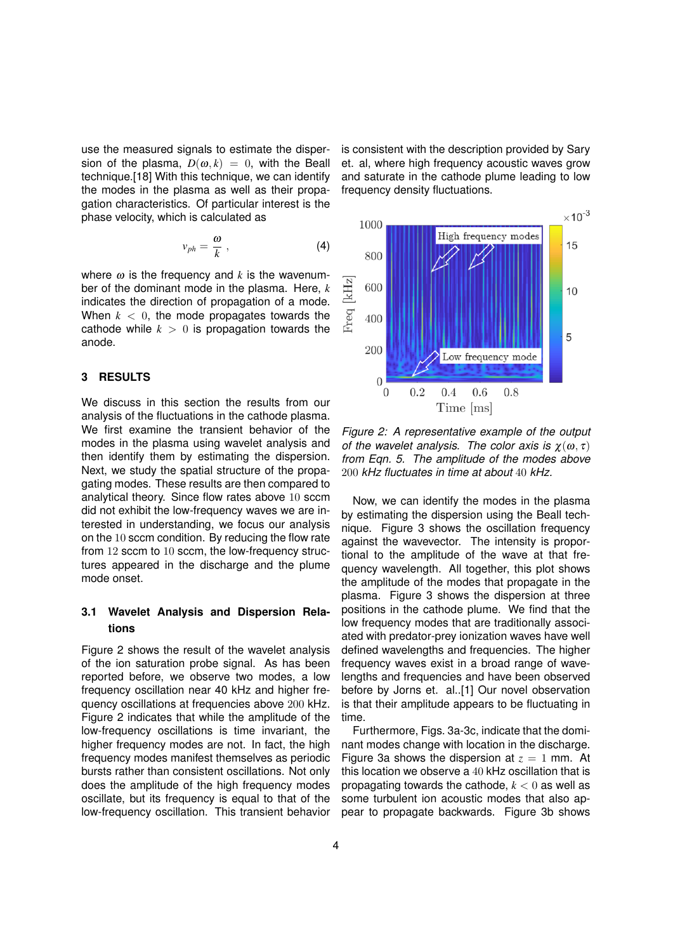use the measured signals to estimate the dispersion of the plasma,  $D(\omega, k) = 0$ , with the Beall technique.[18] With this technique, we can identify the modes in the plasma as well as their propagation characteristics. Of particular interest is the phase velocity, which is calculated as

$$
v_{ph} = \frac{\omega}{k} \; , \tag{4}
$$

where  $\omega$  is the frequency and *k* is the wavenumber of the dominant mode in the plasma. Here, *k* indicates the direction of propagation of a mode. When  $k < 0$ , the mode propagates towards the cathode while  $k > 0$  is propagation towards the anode.

### **3 RESULTS**

We discuss in this section the results from our analysis of the fluctuations in the cathode plasma. We first examine the transient behavior of the modes in the plasma using wavelet analysis and then identify them by estimating the dispersion. Next, we study the spatial structure of the propagating modes. These results are then compared to analytical theory. Since flow rates above 10 sccm did not exhibit the low-frequency waves we are interested in understanding, we focus our analysis on the 10 sccm condition. By reducing the flow rate from 12 sccm to 10 sccm, the low-frequency structures appeared in the discharge and the plume mode onset.

# **3.1 Wavelet Analysis and Dispersion Relations**

Figure 2 shows the result of the wavelet analysis of the ion saturation probe signal. As has been reported before, we observe two modes, a low frequency oscillation near 40 kHz and higher frequency oscillations at frequencies above 200 kHz. Figure 2 indicates that while the amplitude of the low-frequency oscillations is time invariant, the higher frequency modes are not. In fact, the high frequency modes manifest themselves as periodic bursts rather than consistent oscillations. Not only does the amplitude of the high frequency modes oscillate, but its frequency is equal to that of the low-frequency oscillation. This transient behavior is consistent with the description provided by Sary et. al, where high frequency acoustic waves grow and saturate in the cathode plume leading to low frequency density fluctuations.



*Figure 2: A representative example of the output of the wavelet analysis. The color axis is*  $\chi(\omega, \tau)$ *from Eqn. 5. The amplitude of the modes above* 200 *kHz fluctuates in time at about* 40 *kHz.*

Now, we can identify the modes in the plasma by estimating the dispersion using the Beall technique. Figure 3 shows the oscillation frequency against the wavevector. The intensity is proportional to the amplitude of the wave at that frequency wavelength. All together, this plot shows the amplitude of the modes that propagate in the plasma. Figure 3 shows the dispersion at three positions in the cathode plume. We find that the low frequency modes that are traditionally associated with predator-prey ionization waves have well defined wavelengths and frequencies. The higher frequency waves exist in a broad range of wavelengths and frequencies and have been observed before by Jorns et. al..[1] Our novel observation is that their amplitude appears to be fluctuating in time.

Furthermore, Figs. 3a-3c, indicate that the dominant modes change with location in the discharge. Figure 3a shows the dispersion at  $z = 1$  mm. At this location we observe a 40 kHz oscillation that is propagating towards the cathode, *k* < 0 as well as some turbulent ion acoustic modes that also appear to propagate backwards. Figure 3b shows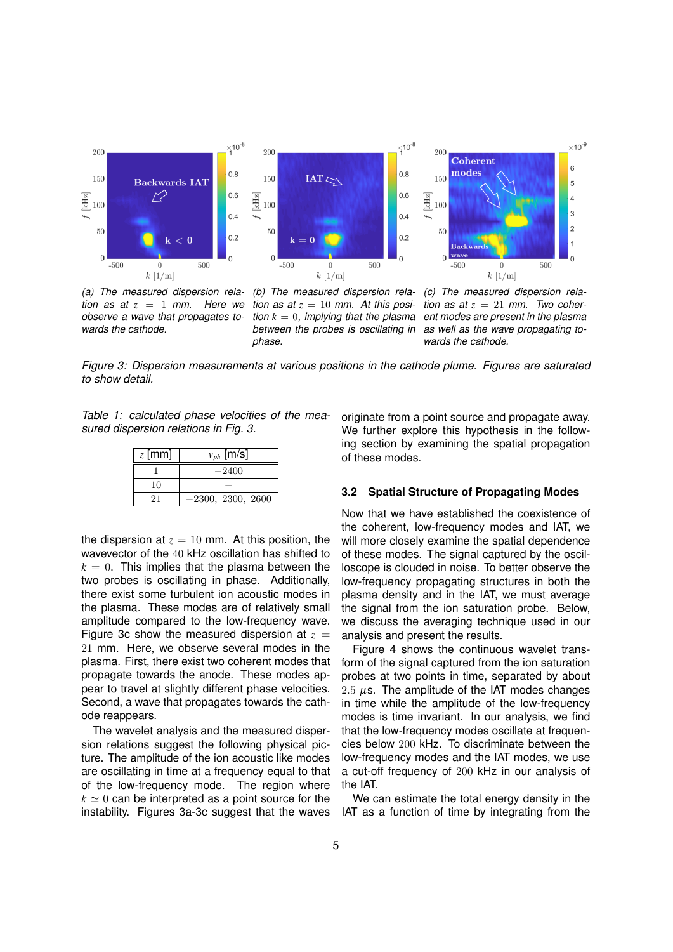

*(a) The measured dispersion relation as at*  $z = 1$  *mm. Here we observe a wave that propagates towards the cathode.*

*(b) The measured dispersion rela-(c) The measured dispersion relation as at*  $z = 10$  *mm.* At this posi*tion k* = 0*, implying that the plasma ent modes are present in the plasma between the probes is oscillating in phase.*

*tion as at*  $z = 21$  *mm. Two coheras well as the wave propagating towards the cathode.*

*Figure 3: Dispersion measurements at various positions in the cathode plume. Figures are saturated to show detail.*

*Table 1: calculated phase velocities of the measured dispersion relations in Fig. 3.*

| $z$ [mm] | $v_{ph}$ [m/s]      |  |  |
|----------|---------------------|--|--|
|          | $-2400$             |  |  |
| 10       |                     |  |  |
| 21       | $-2300, 2300, 2600$ |  |  |

the dispersion at  $z = 10$  mm. At this position, the wavevector of the 40 kHz oscillation has shifted to  $k = 0$ . This implies that the plasma between the two probes is oscillating in phase. Additionally, there exist some turbulent ion acoustic modes in the plasma. These modes are of relatively small amplitude compared to the low-frequency wave. Figure 3c show the measured dispersion at  $z =$ 21 mm. Here, we observe several modes in the plasma. First, there exist two coherent modes that propagate towards the anode. These modes appear to travel at slightly different phase velocities. Second, a wave that propagates towards the cathode reappears.

The wavelet analysis and the measured dispersion relations suggest the following physical picture. The amplitude of the ion acoustic like modes are oscillating in time at a frequency equal to that of the low-frequency mode. The region where  $k \approx 0$  can be interpreted as a point source for the instability. Figures 3a-3c suggest that the waves originate from a point source and propagate away. We further explore this hypothesis in the following section by examining the spatial propagation of these modes.

#### **3.2 Spatial Structure of Propagating Modes**

Now that we have established the coexistence of the coherent, low-frequency modes and IAT, we will more closely examine the spatial dependence of these modes. The signal captured by the oscilloscope is clouded in noise. To better observe the low-frequency propagating structures in both the plasma density and in the IAT, we must average the signal from the ion saturation probe. Below, we discuss the averaging technique used in our analysis and present the results.

Figure 4 shows the continuous wavelet transform of the signal captured from the ion saturation probes at two points in time, separated by about 2.5  $\mu$ s. The amplitude of the IAT modes changes in time while the amplitude of the low-frequency modes is time invariant. In our analysis, we find that the low-frequency modes oscillate at frequencies below 200 kHz. To discriminate between the low-frequency modes and the IAT modes, we use a cut-off frequency of 200 kHz in our analysis of the IAT.

We can estimate the total energy density in the IAT as a function of time by integrating from the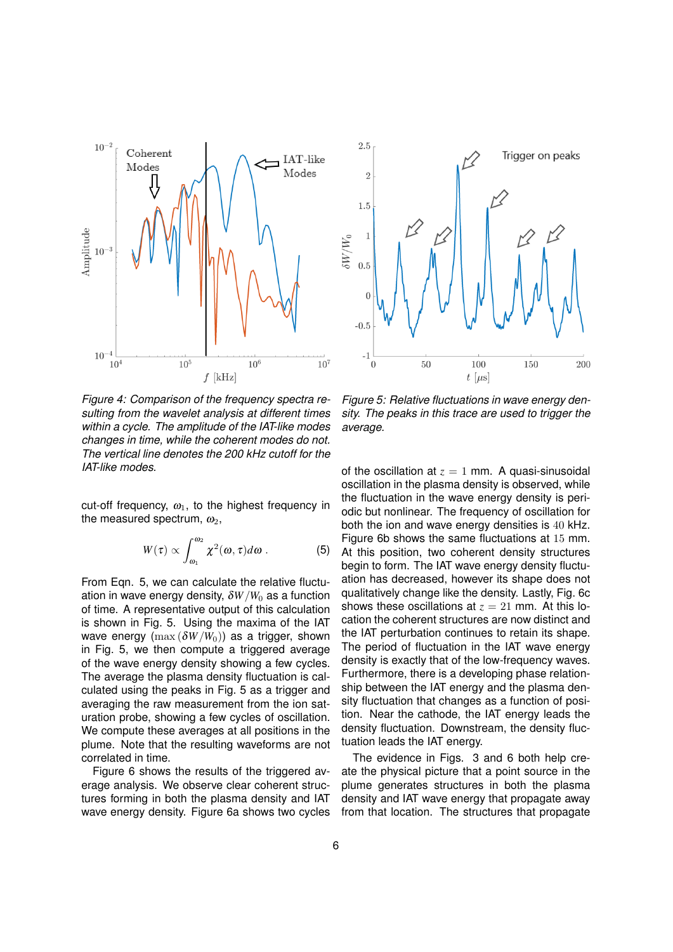

*Figure 4: Comparison of the frequency spectra resulting from the wavelet analysis at different times within a cycle. The amplitude of the IAT-like modes changes in time, while the coherent modes do not. The vertical line denotes the 200 kHz cutoff for the IAT-like modes.*

cut-off frequency,  $\omega_1$ , to the highest frequency in the measured spectrum,  $\omega_2$ ,

$$
W(\tau) \propto \int_{\omega_1}^{\omega_2} \chi^2(\omega, \tau) d\omega \ . \tag{5}
$$

From Eqn. 5, we can calculate the relative fluctuation in wave energy density,  $\delta W/W_0$  as a function of time. A representative output of this calculation is shown in Fig. 5. Using the maxima of the IAT wave energy  $(\max (\delta W/W_0))$  as a trigger, shown in Fig. 5, we then compute a triggered average of the wave energy density showing a few cycles. The average the plasma density fluctuation is calculated using the peaks in Fig. 5 as a trigger and averaging the raw measurement from the ion saturation probe, showing a few cycles of oscillation. We compute these averages at all positions in the plume. Note that the resulting waveforms are not correlated in time.

Figure 6 shows the results of the triggered average analysis. We observe clear coherent structures forming in both the plasma density and IAT wave energy density. Figure 6a shows two cycles



*Figure 5: Relative fluctuations in wave energy density. The peaks in this trace are used to trigger the average.*

of the oscillation at  $z = 1$  mm. A quasi-sinusoidal oscillation in the plasma density is observed, while the fluctuation in the wave energy density is periodic but nonlinear. The frequency of oscillation for both the ion and wave energy densities is 40 kHz. Figure 6b shows the same fluctuations at 15 mm. At this position, two coherent density structures begin to form. The IAT wave energy density fluctuation has decreased, however its shape does not qualitatively change like the density. Lastly, Fig. 6c shows these oscillations at  $z = 21$  mm. At this location the coherent structures are now distinct and the IAT perturbation continues to retain its shape. The period of fluctuation in the IAT wave energy density is exactly that of the low-frequency waves. Furthermore, there is a developing phase relationship between the IAT energy and the plasma density fluctuation that changes as a function of position. Near the cathode, the IAT energy leads the density fluctuation. Downstream, the density fluctuation leads the IAT energy.

The evidence in Figs. 3 and 6 both help create the physical picture that a point source in the plume generates structures in both the plasma density and IAT wave energy that propagate away from that location. The structures that propagate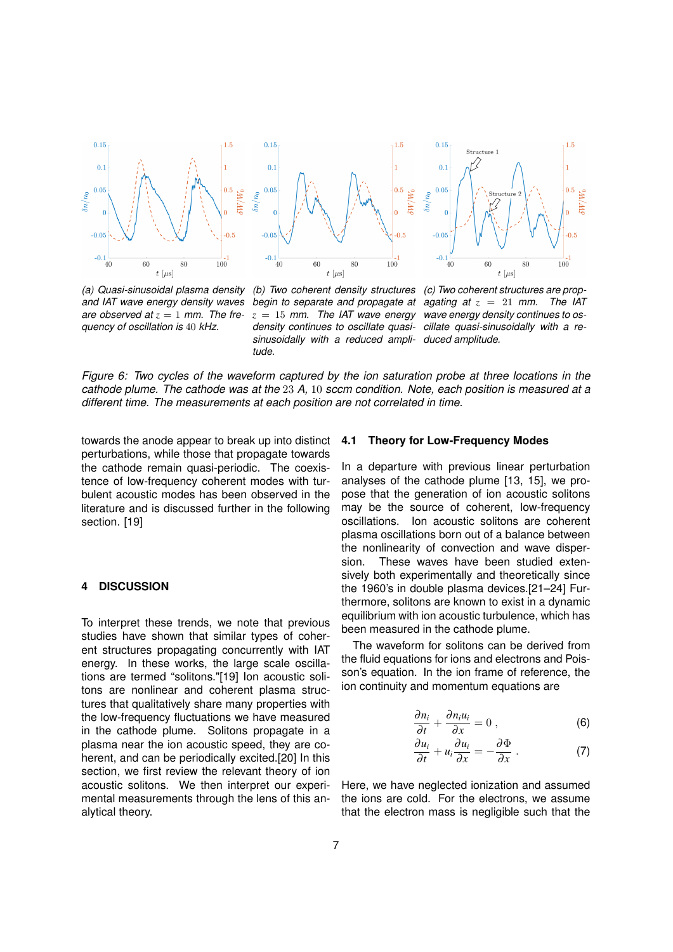

*(a) Quasi-sinusoidal plasma density and IAT wave energy density waves* are observed at  $z = 1$  mm. The fre*quency of oscillation is* 40 *kHz.*

*(b) Two coherent density structures (c) Two coherent structures are propbegin to separate and propagate at agating at z* = 21 *mm. The IAT z* = 15 *mm. The IAT wave energy wave energy density continues to osdensity continues to oscillate quasi-cillate quasi-sinusoidally with a resinusoidally with a reduced ampli-duced amplitude. tude.*

*Figure 6: Two cycles of the waveform captured by the ion saturation probe at three locations in the cathode plume. The cathode was at the* 23 *A,* 10 *sccm condition. Note, each position is measured at a different time. The measurements at each position are not correlated in time.*

towards the anode appear to break up into distinct perturbations, while those that propagate towards the cathode remain quasi-periodic. The coexistence of low-frequency coherent modes with turbulent acoustic modes has been observed in the literature and is discussed further in the following section. [19]

# **4 DISCUSSION**

To interpret these trends, we note that previous studies have shown that similar types of coherent structures propagating concurrently with IAT energy. In these works, the large scale oscillations are termed "solitons."[19] Ion acoustic solitons are nonlinear and coherent plasma structures that qualitatively share many properties with the low-frequency fluctuations we have measured in the cathode plume. Solitons propagate in a plasma near the ion acoustic speed, they are coherent, and can be periodically excited.[20] In this section, we first review the relevant theory of ion acoustic solitons. We then interpret our experimental measurements through the lens of this analytical theory.

#### **4.1 Theory for Low-Frequency Modes**

In a departure with previous linear perturbation analyses of the cathode plume [13, 15], we propose that the generation of ion acoustic solitons may be the source of coherent, low-frequency oscillations. Ion acoustic solitons are coherent plasma oscillations born out of a balance between the nonlinearity of convection and wave dispersion. These waves have been studied extensively both experimentally and theoretically since the 1960's in double plasma devices.[21–24] Furthermore, solitons are known to exist in a dynamic equilibrium with ion acoustic turbulence, which has been measured in the cathode plume.

The waveform for solitons can be derived from the fluid equations for ions and electrons and Poisson's equation. In the ion frame of reference, the ion continuity and momentum equations are

$$
\frac{\partial n_i}{\partial t} + \frac{\partial n_i u_i}{\partial x} = 0 \tag{6}
$$

$$
\frac{\partial u_i}{\partial t} + u_i \frac{\partial u_i}{\partial x} = -\frac{\partial \Phi}{\partial x} \ . \tag{7}
$$

Here, we have neglected ionization and assumed the ions are cold. For the electrons, we assume that the electron mass is negligible such that the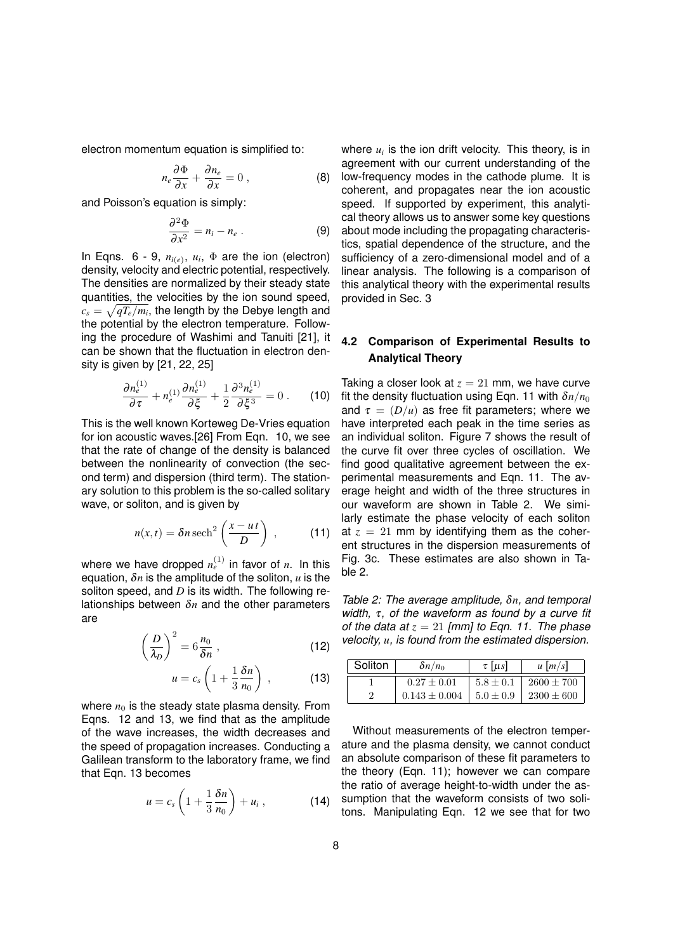electron momentum equation is simplified to:

$$
n_e \frac{\partial \Phi}{\partial x} + \frac{\partial n_e}{\partial x} = 0 , \qquad (8)
$$

and Poisson's equation is simply:

$$
\frac{\partial^2 \Phi}{\partial x^2} = n_i - n_e \ . \tag{9}
$$

In Eqns.  $6 - 9$ ,  $n_{i(e)}$ ,  $u_i$ ,  $\Phi$  are the ion (electron) density, velocity and electric potential, respectively. The densities are normalized by their steady state quantities, the velocities by the ion sound speed,  $c_s = \sqrt{qT_e/m_i}$ , the length by the Debye length and the potential by the electron temperature. Following the procedure of Washimi and Tanuiti [21], it can be shown that the fluctuation in electron density is given by [21, 22, 25]

$$
\frac{\partial n_e^{(1)}}{\partial \tau} + n_e^{(1)} \frac{\partial n_e^{(1)}}{\partial \xi} + \frac{1}{2} \frac{\partial^3 n_e^{(1)}}{\partial \xi^3} = 0 \ . \tag{10}
$$

This is the well known Korteweg De-Vries equation for ion acoustic waves.[26] From Eqn. 10, we see that the rate of change of the density is balanced between the nonlinearity of convection (the second term) and dispersion (third term). The stationary solution to this problem is the so-called solitary wave, or soliton, and is given by

$$
n(x,t) = \delta n \operatorname{sech}^2\left(\frac{x - ut}{D}\right) , \qquad (11)
$$

where we have dropped  $n_e^{(1)}$  in favor of  $n$ . In this equation, δ*n* is the amplitude of the soliton, *u* is the soliton speed, and *D* is its width. The following relationships between δ*n* and the other parameters are

$$
\left(\frac{D}{\lambda_D}\right)^2 = 6\frac{n_0}{\delta n},\qquad(12)
$$

$$
u = c_s \left( 1 + \frac{1}{3} \frac{\delta n}{n_0} \right) , \qquad (13)
$$

where  $n_0$  is the steady state plasma density. From Eqns. 12 and 13, we find that as the amplitude of the wave increases, the width decreases and the speed of propagation increases. Conducting a Galilean transform to the laboratory frame, we find that Eqn. 13 becomes

$$
u = c_s \left( 1 + \frac{1}{3} \frac{\delta n}{n_0} \right) + u_i , \qquad (14)
$$

where  $u_i$  is the ion drift velocity. This theory, is in agreement with our current understanding of the low-frequency modes in the cathode plume. It is coherent, and propagates near the ion acoustic speed. If supported by experiment, this analytical theory allows us to answer some key questions about mode including the propagating characteristics, spatial dependence of the structure, and the sufficiency of a zero-dimensional model and of a linear analysis. The following is a comparison of this analytical theory with the experimental results provided in Sec. 3

# **4.2 Comparison of Experimental Results to Analytical Theory**

Taking a closer look at  $z = 21$  mm, we have curve fit the density fluctuation using Eqn. 11 with  $\delta n/n_0$ and  $\tau = (D/u)$  as free fit parameters; where we have interpreted each peak in the time series as an individual soliton. Figure 7 shows the result of the curve fit over three cycles of oscillation. We find good qualitative agreement between the experimental measurements and Eqn. 11. The average height and width of the three structures in our waveform are shown in Table 2. We similarly estimate the phase velocity of each soliton at  $z = 21$  mm by identifying them as the coherent structures in the dispersion measurements of Fig. 3c. These estimates are also shown in Table 2.

*Table 2: The average amplitude,* δ*n, and temporal width,* τ*, of the waveform as found by a curve fit of the data at*  $z = 21$  *[mm] to Eqn. 11. The phase velocity, u, is found from the estimated dispersion.*

| Soliton | $\delta n/n_0$    | $\tau$ [ $\mu$ s] | $u \left[ m/s \right]$ |
|---------|-------------------|-------------------|------------------------|
|         | $0.27 + 0.01$     | $5.8 \pm 0.1$     | $2600 \pm 700$         |
|         | $0.143 \pm 0.004$ | $5.0 \pm 0.9$     | $2300 \pm 600$         |

Without measurements of the electron temperature and the plasma density, we cannot conduct an absolute comparison of these fit parameters to the theory (Eqn. 11); however we can compare the ratio of average height-to-width under the assumption that the waveform consists of two solitons. Manipulating Eqn. 12 we see that for two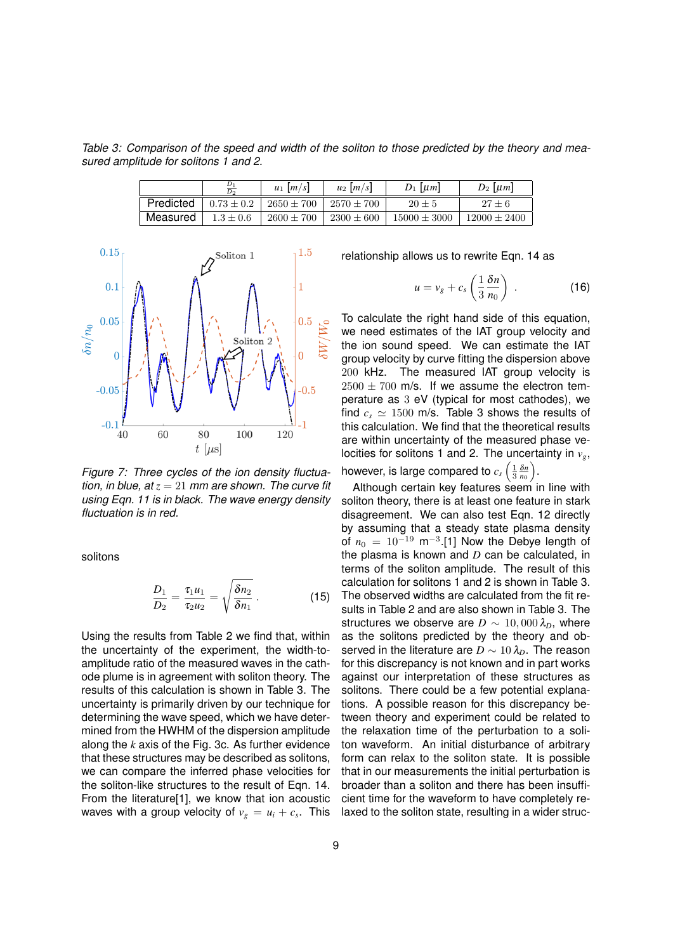*Table 3: Comparison of the speed and width of the soliton to those predicted by the theory and measured amplitude for solitons 1 and 2.*

|           | $\boldsymbol{D}$<br>D <sub>2</sub> | $u_1 \mid m/s$ | $u_2$   <i>m</i> / <i>s</i> | $D_1$   $\mu$ m  | $D_2$   $\mu$ m  |
|-----------|------------------------------------|----------------|-----------------------------|------------------|------------------|
| Predicted | $0.73 \pm 0.2$                     | $2650 \pm 700$ | $2570 \pm 700$              | $20 \pm 5$       | $27 \pm 6$       |
| Measured  | $1.3 + 0.6$                        | $2600 \pm 700$ | $2300 \pm 600$              | $15000 \pm 3000$ | $12000 \pm 2400$ |



*Figure 7: Three cycles of the ion density fluctuation, in blue, at*  $z = 21$  *mm are shown. The curve fit using Eqn. 11 is in black. The wave energy density fluctuation is in red.*

solitons

$$
\frac{D_1}{D_2} = \frac{\tau_1 u_1}{\tau_2 u_2} = \sqrt{\frac{\delta n_2}{\delta n_1}}.
$$
 (15)

Using the results from Table 2 we find that, within the uncertainty of the experiment, the width-toamplitude ratio of the measured waves in the cathode plume is in agreement with soliton theory. The results of this calculation is shown in Table 3. The uncertainty is primarily driven by our technique for determining the wave speed, which we have determined from the HWHM of the dispersion amplitude along the *k* axis of the Fig. 3c. As further evidence that these structures may be described as solitons, we can compare the inferred phase velocities for the soliton-like structures to the result of Eqn. 14. From the literature[1], we know that ion acoustic waves with a group velocity of  $v_g = u_i + c_s$ . This

relationship allows us to rewrite Eqn. 14 as

$$
u = v_g + c_s \left(\frac{1}{3} \frac{\delta n}{n_0}\right) \ . \tag{16}
$$

To calculate the right hand side of this equation, we need estimates of the IAT group velocity and the ion sound speed. We can estimate the IAT group velocity by curve fitting the dispersion above 200 kHz. The measured IAT group velocity is  $2500 \pm 700$  m/s. If we assume the electron temperature as 3 eV (typical for most cathodes), we find  $c_s \simeq 1500$  m/s. Table 3 shows the results of this calculation. We find that the theoretical results are within uncertainty of the measured phase velocities for solitons 1 and 2. The uncertainty in *vg*,

however, is large compared to  $c_s\left(\frac{1}{3}\frac{\delta n}{n_0}\right)$ .

Although certain key features seem in line with soliton theory, there is at least one feature in stark disagreement. We can also test Eqn. 12 directly by assuming that a steady state plasma density of  $n_0 = 10^{-19}$  m<sup>-3</sup>.[1] Now the Debye length of the plasma is known and *D* can be calculated, in terms of the soliton amplitude. The result of this calculation for solitons 1 and 2 is shown in Table 3. The observed widths are calculated from the fit results in Table 2 and are also shown in Table 3. The structures we observe are  $D \sim 10,000 \lambda_D$ , where as the solitons predicted by the theory and observed in the literature are  $D \sim 10 \lambda_D$ . The reason for this discrepancy is not known and in part works against our interpretation of these structures as solitons. There could be a few potential explanations. A possible reason for this discrepancy between theory and experiment could be related to the relaxation time of the perturbation to a soliton waveform. An initial disturbance of arbitrary form can relax to the soliton state. It is possible that in our measurements the initial perturbation is broader than a soliton and there has been insufficient time for the waveform to have completely relaxed to the soliton state, resulting in a wider struc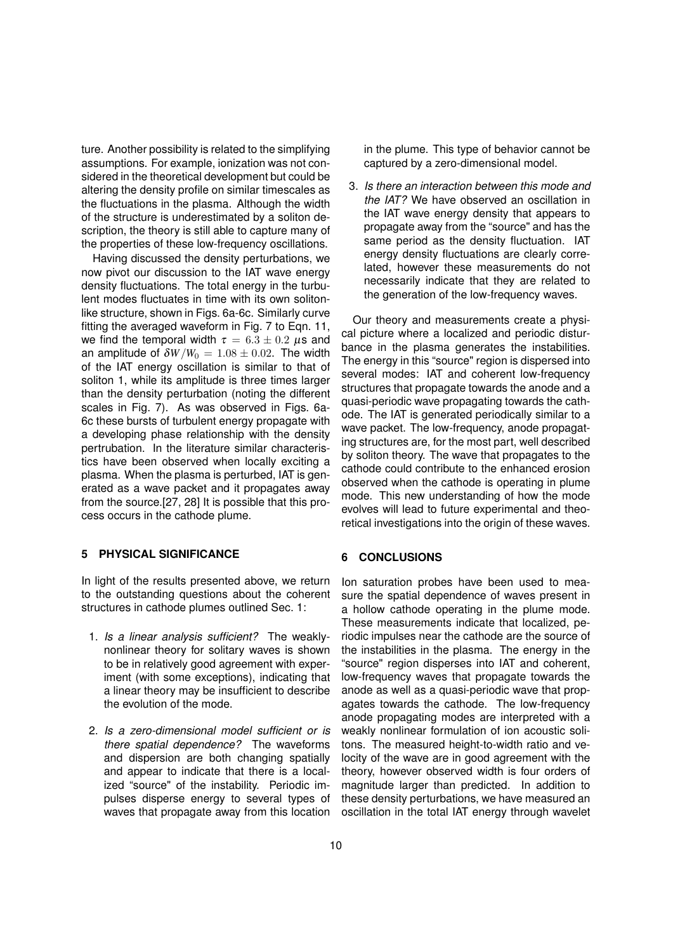ture. Another possibility is related to the simplifying assumptions. For example, ionization was not considered in the theoretical development but could be altering the density profile on similar timescales as the fluctuations in the plasma. Although the width of the structure is underestimated by a soliton description, the theory is still able to capture many of the properties of these low-frequency oscillations.

Having discussed the density perturbations, we now pivot our discussion to the IAT wave energy density fluctuations. The total energy in the turbulent modes fluctuates in time with its own solitonlike structure, shown in Figs. 6a-6c. Similarly curve fitting the averaged waveform in Fig. 7 to Eqn. 11, we find the temporal width  $\tau = 6.3 \pm 0.2 \ \mu s$  and an amplitude of  $\delta W/W_0 = 1.08 \pm 0.02$ . The width of the IAT energy oscillation is similar to that of soliton 1, while its amplitude is three times larger than the density perturbation (noting the different scales in Fig. 7). As was observed in Figs. 6a-6c these bursts of turbulent energy propagate with a developing phase relationship with the density pertrubation. In the literature similar characteristics have been observed when locally exciting a plasma. When the plasma is perturbed, IAT is generated as a wave packet and it propagates away from the source.[27, 28] It is possible that this process occurs in the cathode plume.

# **5 PHYSICAL SIGNIFICANCE**

In light of the results presented above, we return to the outstanding questions about the coherent structures in cathode plumes outlined Sec. 1:

- 1. *Is a linear analysis sufficient?* The weaklynonlinear theory for solitary waves is shown to be in relatively good agreement with experiment (with some exceptions), indicating that a linear theory may be insufficient to describe the evolution of the mode.
- 2. *Is a zero-dimensional model sufficient or is there spatial dependence?* The waveforms and dispersion are both changing spatially and appear to indicate that there is a localized "source" of the instability. Periodic impulses disperse energy to several types of waves that propagate away from this location

in the plume. This type of behavior cannot be captured by a zero-dimensional model.

3. *Is there an interaction between this mode and the IAT?* We have observed an oscillation in the IAT wave energy density that appears to propagate away from the "source" and has the same period as the density fluctuation. IAT energy density fluctuations are clearly correlated, however these measurements do not necessarily indicate that they are related to the generation of the low-frequency waves.

Our theory and measurements create a physical picture where a localized and periodic disturbance in the plasma generates the instabilities. The energy in this "source" region is dispersed into several modes: IAT and coherent low-frequency structures that propagate towards the anode and a quasi-periodic wave propagating towards the cathode. The IAT is generated periodically similar to a wave packet. The low-frequency, anode propagating structures are, for the most part, well described by soliton theory. The wave that propagates to the cathode could contribute to the enhanced erosion observed when the cathode is operating in plume mode. This new understanding of how the mode evolves will lead to future experimental and theoretical investigations into the origin of these waves.

#### **6 CONCLUSIONS**

Ion saturation probes have been used to measure the spatial dependence of waves present in a hollow cathode operating in the plume mode. These measurements indicate that localized, periodic impulses near the cathode are the source of the instabilities in the plasma. The energy in the "source" region disperses into IAT and coherent, low-frequency waves that propagate towards the anode as well as a quasi-periodic wave that propagates towards the cathode. The low-frequency anode propagating modes are interpreted with a weakly nonlinear formulation of ion acoustic solitons. The measured height-to-width ratio and velocity of the wave are in good agreement with the theory, however observed width is four orders of magnitude larger than predicted. In addition to these density perturbations, we have measured an oscillation in the total IAT energy through wavelet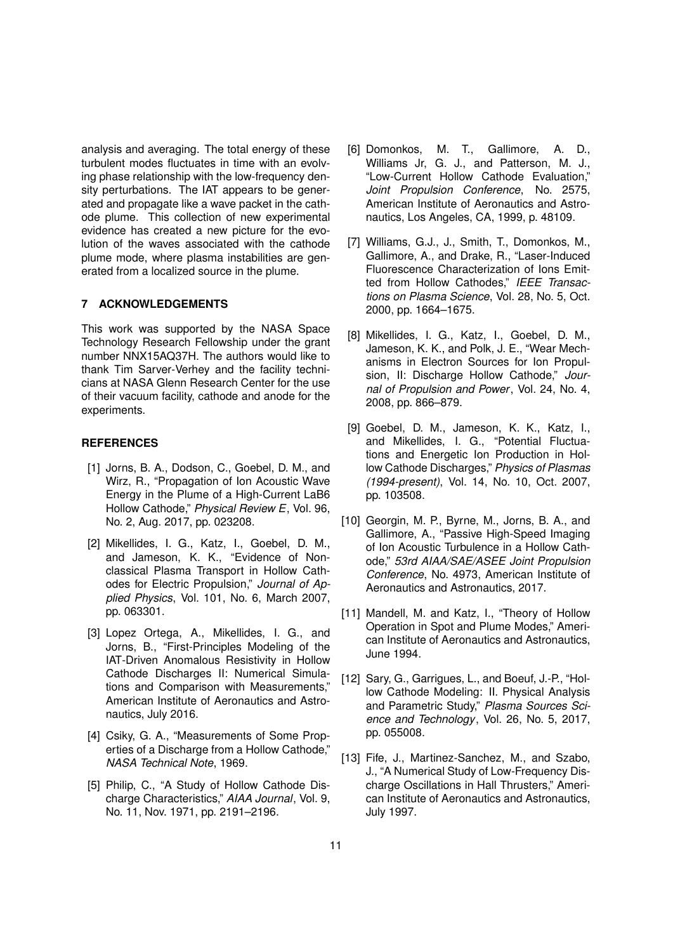analysis and averaging. The total energy of these turbulent modes fluctuates in time with an evolving phase relationship with the low-frequency density perturbations. The IAT appears to be generated and propagate like a wave packet in the cathode plume. This collection of new experimental evidence has created a new picture for the evolution of the waves associated with the cathode plume mode, where plasma instabilities are generated from a localized source in the plume.

### **7 ACKNOWLEDGEMENTS**

This work was supported by the NASA Space Technology Research Fellowship under the grant number NNX15AQ37H. The authors would like to thank Tim Sarver-Verhey and the facility technicians at NASA Glenn Research Center for the use of their vacuum facility, cathode and anode for the experiments.

# **REFERENCES**

- [1] Jorns, B. A., Dodson, C., Goebel, D. M., and Wirz, R., "Propagation of Ion Acoustic Wave Energy in the Plume of a High-Current LaB6 Hollow Cathode," *Physical Review E*, Vol. 96, No. 2, Aug. 2017, pp. 023208.
- [2] Mikellides, I. G., Katz, I., Goebel, D. M., and Jameson, K. K., "Evidence of Nonclassical Plasma Transport in Hollow Cathodes for Electric Propulsion," *Journal of Applied Physics*, Vol. 101, No. 6, March 2007, pp. 063301.
- [3] Lopez Ortega, A., Mikellides, I. G., and Jorns, B., "First-Principles Modeling of the IAT-Driven Anomalous Resistivity in Hollow Cathode Discharges II: Numerical Simulations and Comparison with Measurements," American Institute of Aeronautics and Astronautics, July 2016.
- [4] Csiky, G. A., "Measurements of Some Properties of a Discharge from a Hollow Cathode," *NASA Technical Note*, 1969.
- [5] Philip, C., "A Study of Hollow Cathode Discharge Characteristics," *AIAA Journal*, Vol. 9, No. 11, Nov. 1971, pp. 2191–2196.
- [6] Domonkos, M. T., Gallimore, A. D., Williams Jr, G. J., and Patterson, M. J., "Low-Current Hollow Cathode Evaluation," *Joint Propulsion Conference*, No. 2575, American Institute of Aeronautics and Astronautics, Los Angeles, CA, 1999, p. 48109.
- [7] Williams, G.J., J., Smith, T., Domonkos, M., Gallimore, A., and Drake, R., "Laser-Induced Fluorescence Characterization of Ions Emitted from Hollow Cathodes," *IEEE Transactions on Plasma Science*, Vol. 28, No. 5, Oct. 2000, pp. 1664–1675.
- [8] Mikellides, I. G., Katz, I., Goebel, D. M., Jameson, K. K., and Polk, J. E., "Wear Mechanisms in Electron Sources for Ion Propulsion, II: Discharge Hollow Cathode," *Journal of Propulsion and Power*, Vol. 24, No. 4, 2008, pp. 866–879.
- [9] Goebel, D. M., Jameson, K. K., Katz, I., and Mikellides, I. G., "Potential Fluctuations and Energetic Ion Production in Hollow Cathode Discharges," *Physics of Plasmas (1994-present)*, Vol. 14, No. 10, Oct. 2007, pp. 103508.
- [10] Georgin, M. P., Byrne, M., Jorns, B. A., and Gallimore, A., "Passive High-Speed Imaging of Ion Acoustic Turbulence in a Hollow Cathode," *53rd AIAA/SAE/ASEE Joint Propulsion Conference*, No. 4973, American Institute of Aeronautics and Astronautics, 2017.
- [11] Mandell, M. and Katz, I., "Theory of Hollow Operation in Spot and Plume Modes," American Institute of Aeronautics and Astronautics, June 1994.
- [12] Sary, G., Garrigues, L., and Boeuf, J.-P., "Hollow Cathode Modeling: II. Physical Analysis and Parametric Study," *Plasma Sources Science and Technology*, Vol. 26, No. 5, 2017, pp. 055008.
- [13] Fife, J., Martinez-Sanchez, M., and Szabo, J., "A Numerical Study of Low-Frequency Discharge Oscillations in Hall Thrusters," American Institute of Aeronautics and Astronautics, July 1997.